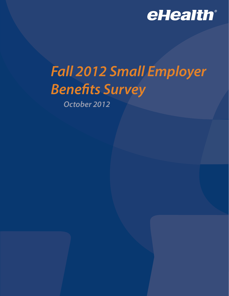

# *Fall 2012 Small Employer Benefits Survey*

*October 2012*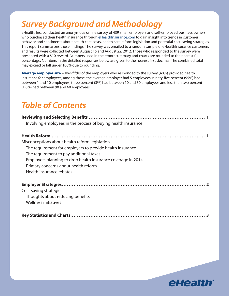# *Survey Background and Methodology*

eHealth, Inc. conducted an anonymous online survey of 439 small employers and self-employed business owners who purchased their health insurance through eHealthInsurance.com to gain insight into trends in customer behavior and sentiments about health care costs, health care reform legislation and potential cost-saving strategies. This report summarizes those findings. The survey was emailed to a random sample of eHealthInsurance customers and results were collected between August 15 and August 22, 2012. Those who responded to the survey were presented with a \$10 reward. Numbers used in the report summary and charts are rounded to the nearest full percentage. Numbers in the detailed responses below are given to the nearest first decimal. The combined total may exceed or fall under 100% due to rounding.

**Average employer size** – Two-fifths of the employers who responded to the survey (40%) provided health insurance for employees; among those, the average employer had 5 employees; ninety-five percent (95%) had between 1 and 10 employees, three percent (3%) had between 10 and 30 employees and less than two percent (1.6%) had between 90 and 60 employees

### *Table of Contents*

| Involving employees in the process of buying health insurance |
|---------------------------------------------------------------|
|                                                               |
| Misconceptions about health reform legislation                |
| The requirement for employers to provide health insurance     |
| The requirement to pay additional taxes                       |
| Employers planning to drop health insurance coverage in 2014  |
| Primary concerns about health reform                          |
| Health insurance rebates                                      |
|                                                               |
| Cost-saving strategies                                        |
| Thoughts about reducing benefits                              |
| Wellness initiatives                                          |
|                                                               |

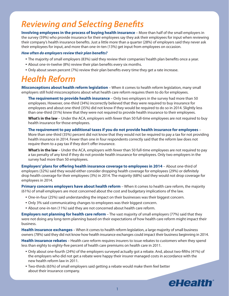# *Reviewing and Selecting Benefits*

**Involving employees in the process of buying health insurance** – More than half of the small employers in the survey (59%) who provide insurance for their employees say they ask their employees for input when reviewing their company's health insurance benefits. Just a little more than a quarter (28%) of employers said they never ask their employees for input, and more than one-in-ten (13%) get input from employees on occasion.

#### *How often do employers review their plan benefits?*

- The majority of small employers (83%) said they review their companies' health plan benefits once a year.
- About one-in-twelve (8%) review their plan benefits every six months.
- • Only about seven percent (7%) review their plan benefits every time they get a rate increase.

### *Health Reform*

**Misconceptions about health reform legislation** – When it comes to health reform legislation, many small employers still hold misconceptions about what health care reform requires them to do for employees.

**The requirement to provide health insurance** – Only two employers in the survey had more than 50 employees. However, one-third (34%) incorrectly believed that they were required to buy insurance for employees and about one-third (35%) did not know if they would be required to do so in 2014. Slightly less than one-third (31%) knew that they were not required to provide health insurance to their employees.

**What's in the law** – Under the ACA, employers with fewer than 50 full-time employees are not required to buy health insurance for those employees.

**The requirement to pay additional taxes if you do not provide health insurance for employees** – More than one-third (35%) percent did not know that they would not be required to pay a tax for not providing health insurance in 2014. Fewer than one in four respondents correctly said that the reform law does not require them to a pay tax if they don't offer insurance.

**What's in the law** – Under the ACA, employers with fewer than 50 full-time employees are not required to pay a tax penalty of any kind if they do not provide health insurance for employees. Only two employers in the survey had more than 50 employees.

**Employers' plans for offering health insurance coverage to employees in 2014** - About one-third of employers (32%) said they would either consider dropping health coverage for employees (29%) or definitely drop health coverage for their employees (3%) in 2014. The majority (68%) said they would not drop coverage for employees in 2014.

**Primary concerns employers have about health reform** – When it comes to health care reform, the majority (61%) of small employers are most concerned about the cost and budgetary implications of the law.

- • One-in-four (25%) said understanding the impact on their businesses was their biggest concern.
- • Only 3% said communicating changes to employees was their biggest concern.
- • About one-in-ten (11%) said they are not concerned about health care reform.

**Employers not planning for health care reform** – The vast majority of small employers (77%) said that they were not doing any long-term planning based on their expectations of how health care reform might impact their business.

**Health insurance exchanges** – When it comes to health reform legislation, a large majority of small business owners (78%) said they did not know how health insurance exchanges could impact their business beginning in 2014.

**Health insurance rebates** – Health care reform requires insurers to issue rebates to customers when they spend less than eighty to eighty-five percent of health care premiums on health care in 2011.

- • Only about one-fourth (24%) of the employers surveyed actually got a rebate. And, about two-fifths (41%) of the employers who did not get a rebate were happy their insurer managed costs in accordance with the new health reform law in 2011.
- Two-thirds (65%) of small employers said getting a rebate would make them feel better about their insurance company.

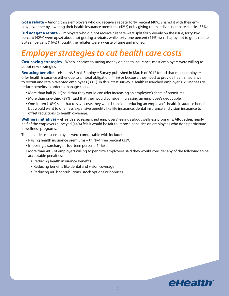**Got a rebate** – Among those employers who did receive a rebate, forty percent (40%) shared it with their employees, either by lowering their health insurance premiums (42%) or by giving them individual rebate checks (33%).

**Did not get a rebate** – Employers who did not receive a rebate were split fairly evenly on the issue; forty-two percent (42%) were upset about not getting a rebate, while forty-one percent (41%) were happy not to get a rebate. Sixteen percent (16%) thought the rebates were a waste of time and money.

## *Employer strategies to cut health care costs*

**Cost-saving strategies** – When it comes to saving money on health insurance, most employers were willing to adopt new strategies.

**Reducing benefits** – eHealth's Small Employer Survey published in March of 2012 found that most employers offer health insurance either due to a moral obligation (44%) or because they need to provide health insurance to recruit and retain talented employees (33%). In this latest survey, eHealth researched employer's willingness to reduce benefits in order to manage costs.

- More than half (51%) said that they would consider increasing an employee's share of premiums.
- • More than one-third (39%) said that they would consider increasing an employee's deductible.
- • One-in-ten (10%) said that to save costs they would consider reducing an employee's health insurance benefits but would want to offer less expensive benefits like life insurance, dental insurance and vision insurance to offset reductions to health coverage.

**Wellness initiatives** – eHealth also researched employers' feelings about wellness programs. Altogether, nearly half of the employers surveyed (44%) felt it would be fair to impose penalties on employees who don't participate in wellness programs.

The penalties most employers were comfortable with include:

- Raising health insurance premiums thirty-three percent (33%)
- Imposing a surcharge fourteen percent (14%)
- • More than 40% of employers willing to penalize employees said they would consider any of the following to be acceptable penalties:
	- Reducing health insurance benefits
	- Reducing benefits like dental and vision coverage
	- Reducing 401k contributions, stock options or bonuses

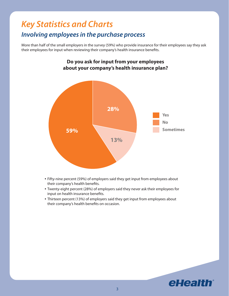### *Key Statistics and Charts Involving employees in the purchase process*

More than half of the small employers in the survey (59%) who provide insurance for their employees say they ask their employees for input when reviewing their company's health insurance benefits.



# **Do you ask for input from your employees**

- Fifty-nine percent (59%) of employers said they get input from employees about their company's health benefits.
- Twenty-eight percent (28%) of employers said they never ask their employees for input on health insurance benefits.
- Thirteen percent (13%) of employers said they get input from employees about their company's health benefits on occasion.

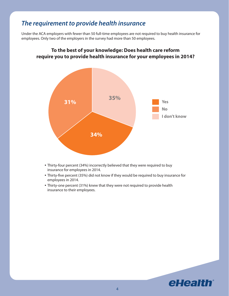### *The requirement to provide health insurance*

Under the ACA employers with fewer than 50 full-time employees are not required to buy health insurance for employees. Only two of the employers in the survey had more than 50 employees.



### **To the best of your knowledge: Does health care reform require you to provide health insurance for your employees in 2014?**

- Thirty-four percent (34%) incorrectly believed that they were required to buy insurance for employees in 2014.
- Thirty-five percent (35%) did not know if they would be required to buy insurance for employees in 2014.
- Thirty-one percent (31%) knew that they were not required to provide health insurance to their employees.

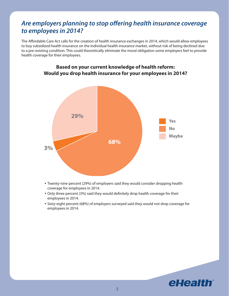### *Are employers planning to stop offering health insurance coverage to employees in 2014?*

The Affordable Care Act calls for the creation of health insurance exchanges in 2014, which would allow employees to buy subsidized health insurance on the individual health insurance market, without risk of being declined due to a pre-existing condition. This could theoretically eliminate the moral obligation some employers feel to provide health coverage for their employees.



### **Based on your current knowledge of health reform: Would you drop health insurance for your employees in 2014?**

- Twenty-nine percent (29%) of employers said they would consider dropping health coverage for employees in 2014.
- Only three percent (3%) said they would definitely drop health coverage for their employees in 2014.
- Sixty-eight percent (68%) of employers surveyed said they would not drop coverage for employees in 2014.

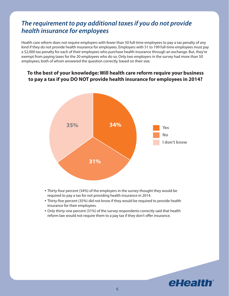### *The requirement to pay additional taxes if you do not provide health insurance for employees*

Health care reform does not require employers with fewer than 50 full-time employees to pay a tax penalty of any kind if they do not provide health insurance for employees. Employers with 51 to 199 full-time employees must pay a \$2,000 tax penalty for each of their employees who purchase health insurance through an exchange. But, they're exempt from paying taxes for the 20 employees who do so. Only two employers in the survey had more than 50 employees; both of whom answered the question correctly, based on their size.

### **To the best of your knowledge: Will health care reform require your business to pay a tax if you DO NOT provide health insurance for employees in 2014?**



- Thirty-four percent (34%) of the employers in the survey thought they would be required to pay a tax for not providing health insurance in 2014.
- • Thirty-five percent (35%) did not know if they would be required to provide health insurance for their employees.
- • Only thirty-one percent (31%) of the survey respondents correctly said that health reform law would not require them to a pay tax if they don't offer insurance.